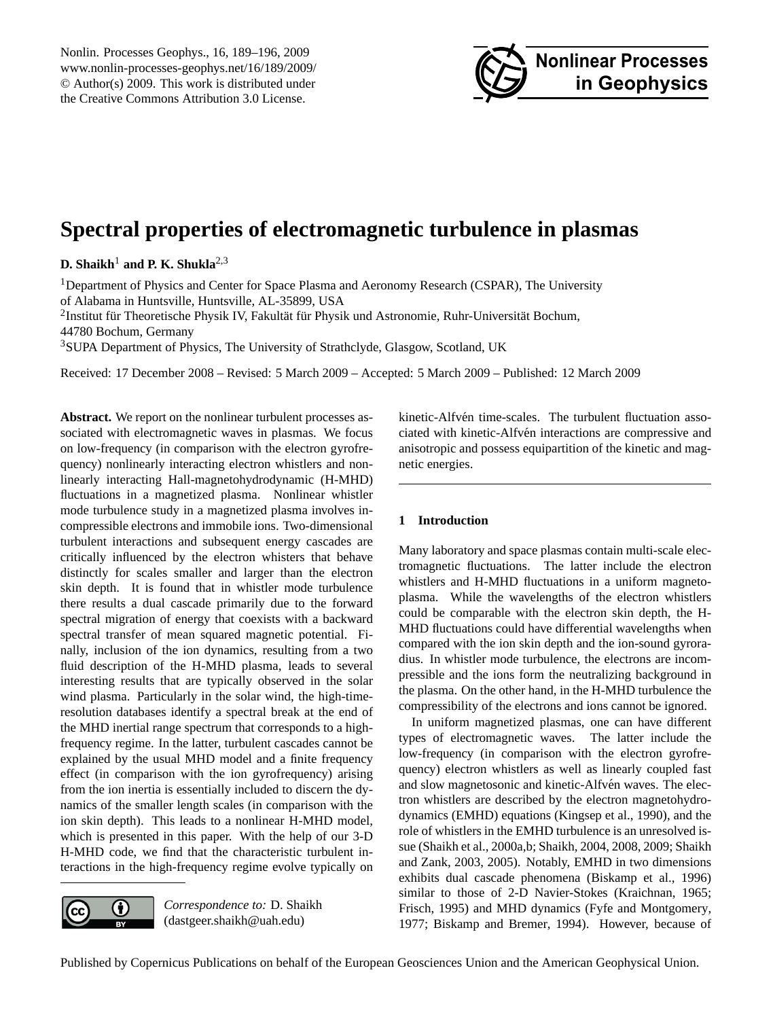<span id="page-0-0"></span>Nonlin. Processes Geophys., 16, 189–196, 2009 www.nonlin-processes-geophys.net/16/189/2009/ © Author(s) 2009. This work is distributed under the Creative Commons Attribution 3.0 License.



# **Spectral properties of electromagnetic turbulence in plasmas**

## **D.** Shaikh<sup>1</sup> and P. K. Shukla<sup>2,3</sup>

<sup>1</sup>Department of Physics and Center for Space Plasma and Aeronomy Research (CSPAR), The University of Alabama in Huntsville, Huntsville, AL-35899, USA

 $^{2}$ Institut für Theoretische Physik IV, Fakultät für Physik und Astronomie, Ruhr-Universität Bochum, 44780 Bochum, Germany

<sup>3</sup>SUPA Department of Physics, The University of Strathclyde, Glasgow, Scotland, UK

Received: 17 December 2008 – Revised: 5 March 2009 – Accepted: 5 March 2009 – Published: 12 March 2009

**Abstract.** We report on the nonlinear turbulent processes associated with electromagnetic waves in plasmas. We focus on low-frequency (in comparison with the electron gyrofrequency) nonlinearly interacting electron whistlers and nonlinearly interacting Hall-magnetohydrodynamic (H-MHD) fluctuations in a magnetized plasma. Nonlinear whistler mode turbulence study in a magnetized plasma involves incompressible electrons and immobile ions. Two-dimensional turbulent interactions and subsequent energy cascades are critically influenced by the electron whisters that behave distinctly for scales smaller and larger than the electron skin depth. It is found that in whistler mode turbulence there results a dual cascade primarily due to the forward spectral migration of energy that coexists with a backward spectral transfer of mean squared magnetic potential. Finally, inclusion of the ion dynamics, resulting from a two fluid description of the H-MHD plasma, leads to several interesting results that are typically observed in the solar wind plasma. Particularly in the solar wind, the high-timeresolution databases identify a spectral break at the end of the MHD inertial range spectrum that corresponds to a highfrequency regime. In the latter, turbulent cascades cannot be explained by the usual MHD model and a finite frequency effect (in comparison with the ion gyrofrequency) arising from the ion inertia is essentially included to discern the dynamics of the smaller length scales (in comparison with the ion skin depth). This leads to a nonlinear H-MHD model, which is presented in this paper. With the help of our 3-D H-MHD code, we find that the characteristic turbulent interactions in the high-frequency regime evolve typically on



*Correspondence to:* D. Shaikh (dastgeer.shaikh@uah.edu)

kinetic-Alfvén time-scales. The turbulent fluctuation associated with kinetic-Alfvén interactions are compressive and anisotropic and possess equipartition of the kinetic and magnetic energies.

### **1 Introduction**

Many laboratory and space plasmas contain multi-scale electromagnetic fluctuations. The latter include the electron whistlers and H-MHD fluctuations in a uniform magnetoplasma. While the wavelengths of the electron whistlers could be comparable with the electron skin depth, the H-MHD fluctuations could have differential wavelengths when compared with the ion skin depth and the ion-sound gyroradius. In whistler mode turbulence, the electrons are incompressible and the ions form the neutralizing background in the plasma. On the other hand, in the H-MHD turbulence the compressibility of the electrons and ions cannot be ignored.

In uniform magnetized plasmas, one can have different types of electromagnetic waves. The latter include the low-frequency (in comparison with the electron gyrofrequency) electron whistlers as well as linearly coupled fast and slow magnetosonic and kinetic-Alfvén waves. The electron whistlers are described by the electron magnetohydrodynamics (EMHD) equations [\(Kingsep et al.,](#page-6-0) [1990\)](#page-6-0), and the role of whistlers in the EMHD turbulence is an unresolved issue [\(Shaikh et al.,](#page-7-0) [2000a](#page-7-0)[,b;](#page-7-1) [Shaikh,](#page-7-2) [2004,](#page-7-2) [2008,](#page-7-3) [2009;](#page-7-4) [Shaikh](#page-7-5) [and Zank,](#page-7-5) [2003,](#page-7-5) [2005\)](#page-7-6). Notably, EMHD in two dimensions exhibits dual cascade phenomena [\(Biskamp et al.,](#page-6-1) [1996\)](#page-6-1) similar to those of 2-D Navier-Stokes [\(Kraichnan,](#page-6-2) [1965;](#page-6-2) [Frisch,](#page-6-3) [1995\)](#page-6-3) and MHD dynamics [\(Fyfe and Montgomery,](#page-6-4) [1977;](#page-6-4) [Biskamp and Bremer,](#page-6-5) [1994\)](#page-6-5). However, because of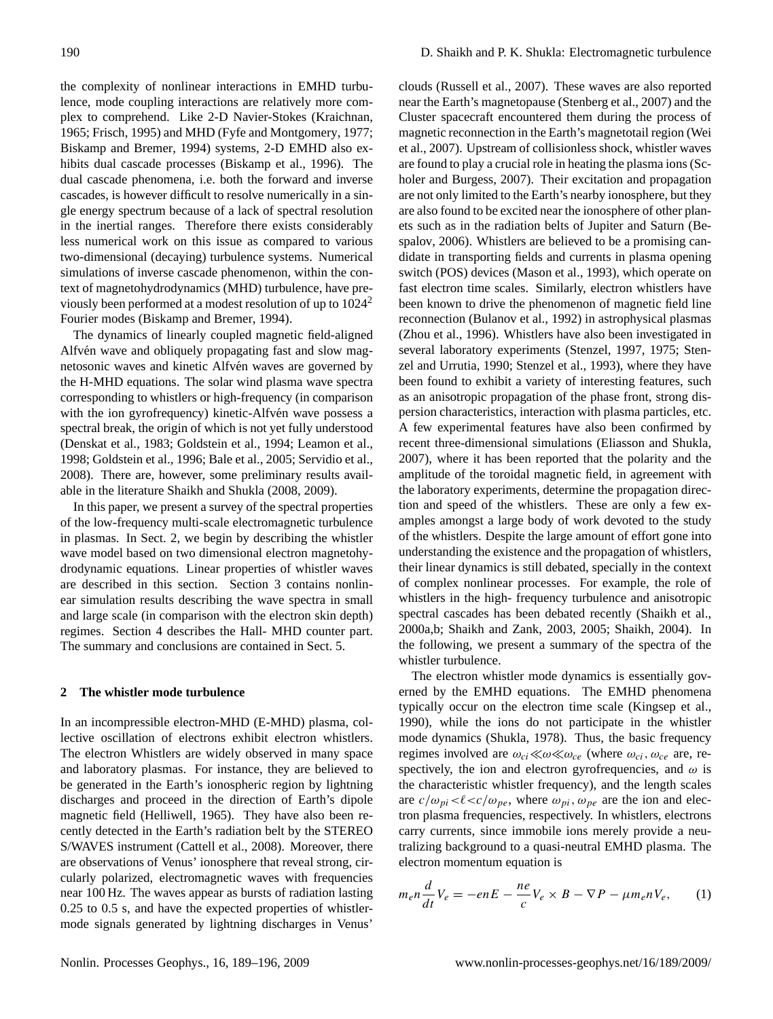the complexity of nonlinear interactions in EMHD turbulence, mode coupling interactions are relatively more complex to comprehend. Like 2-D Navier-Stokes [\(Kraichnan,](#page-6-2) [1965;](#page-6-2) [Frisch,](#page-6-3) [1995\)](#page-6-3) and MHD [\(Fyfe and Montgomery,](#page-6-4) [1977;](#page-6-4) [Biskamp and Bremer,](#page-6-5) [1994\)](#page-6-5) systems, 2-D EMHD also exhibits dual cascade processes [\(Biskamp et al.,](#page-6-1) [1996\)](#page-6-1). The dual cascade phenomena, i.e. both the forward and inverse cascades, is however difficult to resolve numerically in a single energy spectrum because of a lack of spectral resolution in the inertial ranges. Therefore there exists considerably less numerical work on this issue as compared to various two-dimensional (decaying) turbulence systems. Numerical simulations of inverse cascade phenomenon, within the context of magnetohydrodynamics (MHD) turbulence, have previously been performed at a modest resolution of up to 1024<sup>2</sup> Fourier modes [\(Biskamp and Bremer,](#page-6-5) [1994\)](#page-6-5).

The dynamics of linearly coupled magnetic field-aligned Alfvén wave and obliquely propagating fast and slow magnetosonic waves and kinetic Alfvén waves are governed by the H-MHD equations. The solar wind plasma wave spectra corresponding to whistlers or high-frequency (in comparison with the ion gyrofrequency) kinetic-Alfvén wave possess a spectral break, the origin of which is not yet fully understood [\(Denskat et al.,](#page-6-6) [1983;](#page-6-6) [Goldstein et al.,](#page-6-7) [1994;](#page-6-7) [Leamon et al.,](#page-6-8) [1998;](#page-6-8) [Goldstein et al.,](#page-6-9) [1996;](#page-6-9) [Bale et al.,](#page-6-10) [2005;](#page-6-10) [Servidio et al.,](#page-6-11) [2008\)](#page-6-11). There are, however, some preliminary results available in the literature [Shaikh and Shukla](#page-7-7) [\(2008,](#page-7-7) [2009\)](#page-7-8).

In this paper, we present a survey of the spectral properties of the low-frequency multi-scale electromagnetic turbulence in plasmas. In Sect. 2, we begin by describing the whistler wave model based on two dimensional electron magnetohydrodynamic equations. Linear properties of whistler waves are described in this section. Section 3 contains nonlinear simulation results describing the wave spectra in small and large scale (in comparison with the electron skin depth) regimes. Section 4 describes the Hall- MHD counter part. The summary and conclusions are contained in Sect. 5.

#### **2 The whistler mode turbulence**

In an incompressible electron-MHD (E-MHD) plasma, collective oscillation of electrons exhibit electron whistlers. The electron Whistlers are widely observed in many space and laboratory plasmas. For instance, they are believed to be generated in the Earth's ionospheric region by lightning discharges and proceed in the direction of Earth's dipole magnetic field [\(Helliwell,](#page-6-12) [1965\)](#page-6-12). They have also been recently detected in the Earth's radiation belt by the STEREO S/WAVES instrument [\(Cattell et al.,](#page-6-13) [2008\)](#page-6-13). Moreover, there are observations of Venus' ionosphere that reveal strong, circularly polarized, electromagnetic waves with frequencies near 100 Hz. The waves appear as bursts of radiation lasting 0.25 to 0.5 s, and have the expected properties of whistlermode signals generated by lightning discharges in Venus'

clouds [\(Russell et al.,](#page-6-14) [2007\)](#page-6-14). These waves are also reported near the Earth's magnetopause [\(Stenberg et al.,](#page-7-9) [2007\)](#page-7-9) and the Cluster spacecraft encountered them during the process of magnetic reconnection in the Earth's magnetotail region [\(Wei](#page-7-10) [et al.,](#page-7-10) [2007\)](#page-7-10). Upstream of collisionless shock, whistler waves are found to play a crucial role in heating the plasma ions [\(Sc](#page-6-15)[holer and Burgess,](#page-6-15) [2007\)](#page-6-15). Their excitation and propagation are not only limited to the Earth's nearby ionosphere, but they are also found to be excited near the ionosphere of other planets such as in the radiation belts of Jupiter and Saturn [\(Be](#page-6-16)[spalov,](#page-6-16) [2006\)](#page-6-16). Whistlers are believed to be a promising candidate in transporting fields and currents in plasma opening switch (POS) devices [\(Mason et al.,](#page-6-17) [1993\)](#page-6-17), which operate on fast electron time scales. Similarly, electron whistlers have been known to drive the phenomenon of magnetic field line reconnection [\(Bulanov et al.,](#page-6-18) [1992\)](#page-6-18) in astrophysical plasmas [\(Zhou et al.,](#page-7-11) [1996\)](#page-7-11). Whistlers have also been investigated in several laboratory experiments [\(Stenzel,](#page-7-12) [1997,](#page-7-12) [1975;](#page-7-13) [Sten](#page-7-14)[zel and Urrutia,](#page-7-14) [1990;](#page-7-14) [Stenzel et al.,](#page-7-15) [1993\)](#page-7-15), where they have been found to exhibit a variety of interesting features, such as an anisotropic propagation of the phase front, strong dispersion characteristics, interaction with plasma particles, etc. A few experimental features have also been confirmed by recent three-dimensional simulations [\(Eliasson and Shukla,](#page-6-19) [2007\)](#page-6-19), where it has been reported that the polarity and the amplitude of the toroidal magnetic field, in agreement with the laboratory experiments, determine the propagation direction and speed of the whistlers. These are only a few examples amongst a large body of work devoted to the study of the whistlers. Despite the large amount of effort gone into understanding the existence and the propagation of whistlers, their linear dynamics is still debated, specially in the context of complex nonlinear processes. For example, the role of whistlers in the high- frequency turbulence and anisotropic spectral cascades has been debated recently [\(Shaikh et al.,](#page-7-0) [2000a,](#page-7-0)[b;](#page-7-1) [Shaikh and Zank,](#page-7-5) [2003,](#page-7-5) [2005;](#page-7-6) [Shaikh,](#page-7-2) [2004\)](#page-7-2). In the following, we present a summary of the spectra of the whistler turbulence.

The electron whistler mode dynamics is essentially governed by the EMHD equations. The EMHD phenomena typically occur on the electron time scale [\(Kingsep et al.,](#page-6-0) [1990\)](#page-6-0), while the ions do not participate in the whistler mode dynamics [\(Shukla,](#page-6-20) [1978\)](#page-6-20). Thus, the basic frequency regimes involved are  $\omega_{ci} \ll \omega \ll \omega_{ce}$  (where  $\omega_{ci}$ ,  $\omega_{ce}$  are, respectively, the ion and electron gyrofrequencies, and  $\omega$  is the characteristic whistler frequency), and the length scales are  $c/\omega_{pi} < l < c/\omega_{pe}$ , where  $\omega_{pi}$ ,  $\omega_{pe}$  are the ion and electron plasma frequencies, respectively. In whistlers, electrons carry currents, since immobile ions merely provide a neutralizing background to a quasi-neutral EMHD plasma. The electron momentum equation is

<span id="page-1-0"></span>
$$
m_{e}n\frac{d}{dt}V_{e} = -enE - \frac{ne}{c}V_{e} \times B - \nabla P - \mu m_{e}nV_{e}, \qquad (1)
$$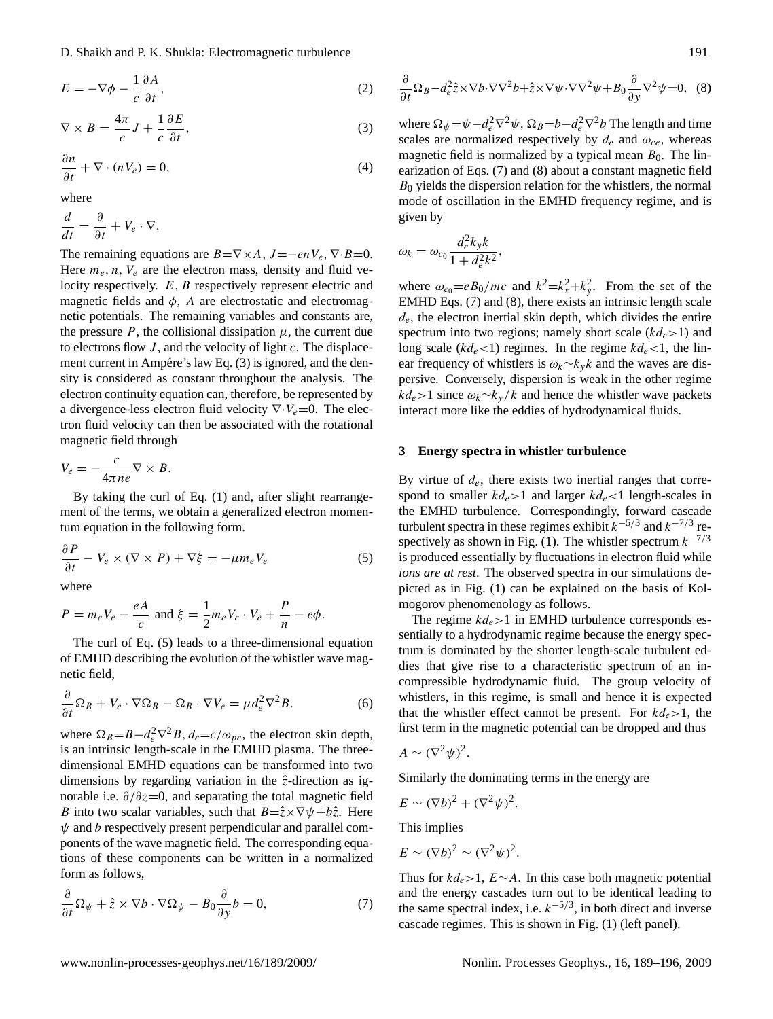D. Shaikh and P. K. Shukla: Electromagnetic turbulence 191

$$
E = -\nabla \phi - \frac{1}{c} \frac{\partial A}{\partial t},\tag{2}
$$

<span id="page-2-0"></span>
$$
\nabla \times B = \frac{4\pi}{c} J + \frac{1}{c} \frac{\partial E}{\partial t},\tag{3}
$$

$$
\frac{\partial n}{\partial t} + \nabla \cdot (nV_e) = 0,\t\t(4)
$$

where

$$
\frac{d}{dt} = \frac{\partial}{\partial t} + V_e \cdot \nabla.
$$

The remaining equations are  $B=\nabla \times A$ ,  $J=-enV_e$ ,  $\nabla \cdot B=0$ . Here  $m_e$ ,  $n$ ,  $V_e$  are the electron mass, density and fluid velocity respectively. E, B respectively represent electric and magnetic fields and  $\phi$ , A are electrostatic and electromagnetic potentials. The remaining variables and constants are, the pressure  $P$ , the collisional dissipation  $\mu$ , the current due to electrons flow  $J$ , and the velocity of light  $c$ . The displacement current in Ampére's law Eq.  $(3)$  $(3)$  is ignored, and the density is considered as constant throughout the analysis. The electron continuity equation can, therefore, be represented by a divergence-less electron fluid velocity  $\nabla \cdot V_e = 0$ . The electron fluid velocity can then be associated with the rotational magnetic field through

$$
V_e = -\frac{c}{4\pi n e} \nabla \times B.
$$

By taking the curl of Eq. [\(1\)](#page-1-0) and, after slight rearrangement of the terms, we obtain a generalized electron momentum equation in the following form.

<span id="page-2-1"></span>
$$
\frac{\partial P}{\partial t} - V_e \times (\nabla \times P) + \nabla \xi = -\mu m_e V_e \tag{5}
$$

where

$$
P = m_e V_e - \frac{eA}{c} \text{ and } \xi = \frac{1}{2} m_e V_e \cdot V_e + \frac{P}{n} - e\phi.
$$

The curl of Eq. [\(5\)](#page-2-1) leads to a three-dimensional equation of EMHD describing the evolution of the whistler wave magnetic field,

$$
\frac{\partial}{\partial t}\Omega_B + V_e \cdot \nabla \Omega_B - \Omega_B \cdot \nabla V_e = \mu d_e^2 \nabla^2 B. \tag{6}
$$

where  $\Omega_B = B - d_e^2 \nabla^2 B$ ,  $d_e = c/\omega_{pe}$ , the electron skin depth, is an intrinsic length-scale in the EMHD plasma. The threedimensional EMHD equations can be transformed into two dimensions by regarding variation in the  $\hat{z}$ -direction as ignorable i.e.  $\partial/\partial z=0$ , and separating the total magnetic field B into two scalar variables, such that  $B = \hat{z} \times \nabla \psi + b\hat{z}$ . Here  $\psi$  and b respectively present perpendicular and parallel components of the wave magnetic field. The corresponding equations of these components can be written in a normalized form as follows,

<span id="page-2-2"></span>
$$
\frac{\partial}{\partial t}\Omega_{\psi} + \hat{z} \times \nabla b \cdot \nabla \Omega_{\psi} - B_0 \frac{\partial}{\partial y} b = 0, \tag{7}
$$

<span id="page-2-3"></span>
$$
\frac{\partial}{\partial t}\Omega_B - d_e^2 \hat{z} \times \nabla b \cdot \nabla \nabla^2 b + \hat{z} \times \nabla \psi \cdot \nabla \nabla^2 \psi + B_0 \frac{\partial}{\partial y} \nabla^2 \psi = 0, \quad (8)
$$

where  $\Omega_{\psi} = \psi - d_e^2 \nabla^2 \psi$ ,  $\Omega_B = b - d_e^2 \nabla^2 b$  The length and time scales are normalized respectively by  $d_e$  and  $\omega_{ce}$ , whereas magnetic field is normalized by a typical mean  $B_0$ . The linearization of Eqs. [\(7\)](#page-2-2) and [\(8\)](#page-2-3) about a constant magnetic field  $B<sub>0</sub>$  yields the dispersion relation for the whistlers, the normal mode of oscillation in the EMHD frequency regime, and is given by

$$
\omega_k = \omega_{c_0} \frac{d_e^2 k_y k}{1 + d_e^2 k^2},
$$

where  $\omega_{c_0} = eB_0/mc$  and  $k^2 = k_x^2 + k_y^2$ . From the set of the EMHD Eqs. [\(7\)](#page-2-2) and [\(8\)](#page-2-3), there exists an intrinsic length scale  $d_e$ , the electron inertial skin depth, which divides the entire spectrum into two regions; namely short scale  $(kd_e>1)$  and long scale ( $kd_e$ <1) regimes. In the regime  $kd_e$ <1, the linear frequency of whistlers is  $\omega_k \sim k_y k$  and the waves are dispersive. Conversely, dispersion is weak in the other regime  $kd_e>1$  since  $\omega_k \sim k_v/k$  and hence the whistler wave packets interact more like the eddies of hydrodynamical fluids.

#### **3 Energy spectra in whistler turbulence**

By virtue of  $d_e$ , there exists two inertial ranges that correspond to smaller  $kd_e > 1$  and larger  $kd_e < 1$  length-scales in the EMHD turbulence. Correspondingly, forward cascade turbulent spectra in these regimes exhibit  $k^{-5/3}$  and  $k^{-7/3}$  re-spectively as shown in Fig. [\(1\)](#page-3-0). The whistler spectrum  $k^{-7/3}$ is produced essentially by fluctuations in electron fluid while *ions are at rest*. The observed spectra in our simulations depicted as in Fig. [\(1\)](#page-3-0) can be explained on the basis of Kolmogorov phenomenology as follows.

The regime  $kd_e$  > 1 in EMHD turbulence corresponds essentially to a hydrodynamic regime because the energy spectrum is dominated by the shorter length-scale turbulent eddies that give rise to a characteristic spectrum of an incompressible hydrodynamic fluid. The group velocity of whistlers, in this regime, is small and hence it is expected that the whistler effect cannot be present. For  $kd_e > 1$ , the first term in the magnetic potential can be dropped and thus

$$
A \sim (\nabla^2 \psi)^2.
$$

Similarly the dominating terms in the energy are

$$
E \sim (\nabla b)^2 + (\nabla^2 \psi)^2.
$$

This implies

$$
E \sim (\nabla b)^2 \sim (\nabla^2 \psi)^2.
$$

Thus for  $kd_e>1$ ,  $E\sim A$ . In this case both magnetic potential and the energy cascades turn out to be identical leading to the same spectral index, i.e.  $k^{-5/3}$ , in both direct and inverse cascade regimes. This is shown in Fig. [\(1\)](#page-3-0) (left panel).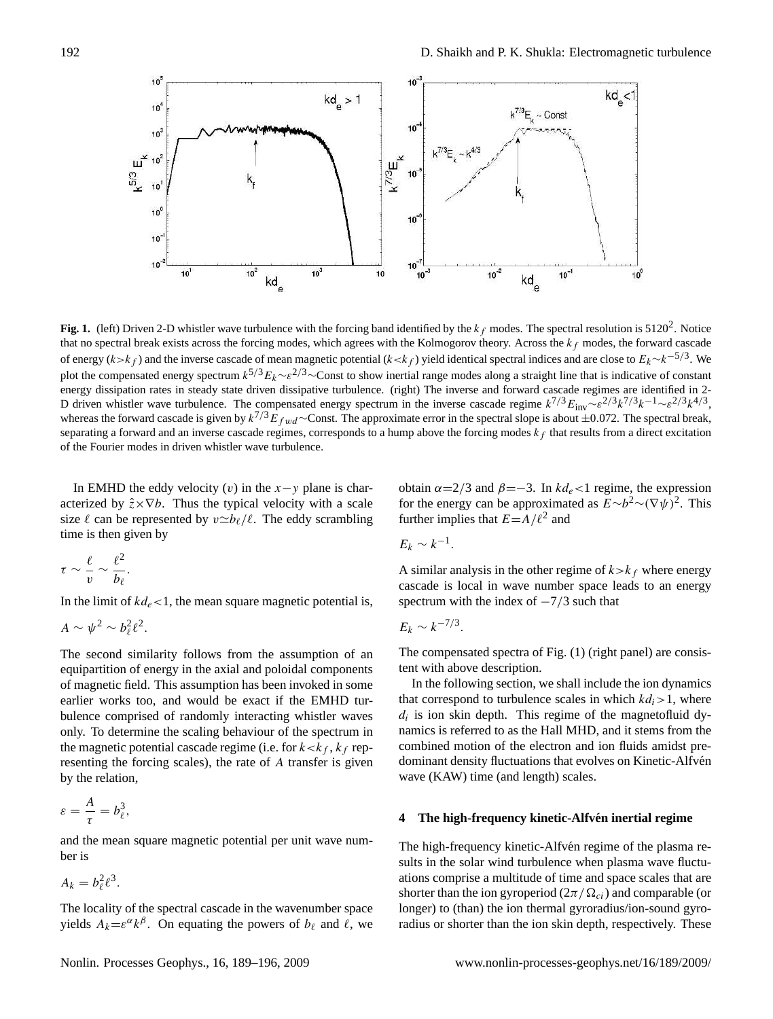

<span id="page-3-0"></span>**Fig. 1.** (left) Driven 2-D whistler wave turbulence with the forcing band identified by the  $k_f$  modes. The spectral resolution is  $5120^2$ . Notice that no spectral break exists across the forcing modes, which agrees with the Kolmogorov theory. Across the  $k_f$  modes, the forward cascade **Fig. 1.** (left) Driven 2-D whistler wave turbulence with the forcing band identified by the  $k_f$  modes. The spectral resolution is 5120<sup>2</sup>. Notice that no spectral break exists across the forcing modes, which agrees with plot the compensated energy spectrum  $k^{5/3} E_k \sim \varepsilon^{2/3} \sim$ Const to show inertial range modes along a straight line that is indicative of constant energy dissipation rates in steady state driven dissipative turbulence. (right) The inverse and forward cascade regimes are identified in 2-D driven whistler wave turbulence. The compensated energy spectrum in the inverse cascade regime  $k^{7/3}E_{\text{inv}}\propto \epsilon^{2/3}k^{7/3}k^{-1}\sim \epsilon^{2/3}k^{4/3}$ , whereas the forward cascade is given by  $k^{7/3}E_{fwd} \sim$ Const. The approximate error in the spectral slope is about  $\pm 0.072$ . The spectral break, separating a forward and an inverse cascade regimes, corresponds to a hump above the forcing modes  $k_f$  that results from a direct excitation of the Fourier modes in driven whistler wave turbulence.

In EMHD the eddy velocity (v) in the x−y plane is char-<br>peterized by  $\hat{\sigma} \times \nabla h$ . Thus the typical velocity with a scale size  $\ell$  can be represented by  $v \simeq b_\ell/\ell$ . The eddy scrambling time is then given by acterized by  $\hat{z} \times \nabla b$ . Thus the typical velocity with a scale

$$
\tau \sim \frac{\ell}{v} \sim \frac{\ell^2}{b_\ell}.
$$

In the limit of  $kd_e$  < 1, the mean square magnetic potential is,

$$
A \sim \psi^2 \sim b_\ell^2 \ell^2.
$$

The second similarity follows from the assumption of an rice second similarity follows from the assumption of an<br>equipartition of energy in the axial and poloidal components equipartition of energy in the axial and poloidal components<br>of magnetic field. This assumption has been invoked in some or magnetic netal. This assumption has econ invoked in some earlier works too, and would be exact if the EMHD turbulence comprised of randomly interacting whistler waves building with a divergence-less electron fluid velocity. To determine the scaling behaviour of the spectrum in the magnetic potential cascade regime (i.e. for  $k < k_f$ ,  $k_f$  repthe magnetic potential cascade regime (i.e. for  $\kappa \ll N_f$ ,  $\kappa_f$  representing the forcing scales), the rate of A transfer is given  $\frac{1}{2}$  by the relation,  $\theta$ 

$$
\varepsilon=\frac{A}{\tau}=b_\ell^3,
$$

and the mean square magnetic potential per unit wave number is  $\Delta t - b^2 \ell^3$ 

$$
A_k = b_\ell^2 \ell^3.
$$

yields  $A_k = \varepsilon^\alpha k^\beta$ . On equating the powers of  $b_\ell$  and  $\ell$ , we The locality of the spectral cascade in the wavenumber space obtain  $\alpha = 2/3$  and  $\beta = -3$ . In  $kd_e < 1$  regime, the expression for the energy can be approximated as  $E \sim b^2 \sim (\nabla \psi)^2$ . This further implies that  $E = A/\ell^2$  and

$$
E_k \sim k^{-1}.
$$

 $\Delta E_k \rightarrow \mathcal{R}$  is  $\Delta E_k$  analysis in the other regime of  $k > k_f$  where energy cascade is local in wave number space leads to an energy spectrum with the index of  $-7/3$  such that

$$
E_k \sim k^{-7/3}.
$$

The compensated spectra of Fig. [\(1\)](#page-3-0) (right panel) are consistent with above description.

In the following section, we shall include the ion dynamics that correspond to turbulence scales in which  $kd_i > 1$ , where  $d_i$  is ion skin depth. This regime of the magnetofluid dynamics is referred to as the Hall MHD, and it stems from the dominant density fluctuations that evolves on Kinetic-Alfvén wave (KAW) time (and length) scales. dominant density incluations that evolution<br>wave (KAW) time (and length) scales. combined motion of the electron and ion fluids amidst pre-

## ∂ **4** The high-frequency kinetic-Alfvén inertial regime

sults in the solar wind turbulence when plasma wave fluctuations comprise a multitude of time and space scales that are<br>shorter than the ion gyroperiod  $(2\pi/\Omega_{ci})$  and comparable (or<br>longer) to (than) the ion thermal gyroradius/ion-sound gyroshorter than the ion gyroperiod  $(2\pi/\Omega_{ci})$  and comparable (or longer) to (than) the ion thermal gyroradius/ion-sound gyroradius or shorter than the ion skin depth, respectively. These The high-frequency kinetic-Alfvén regime of the plasma re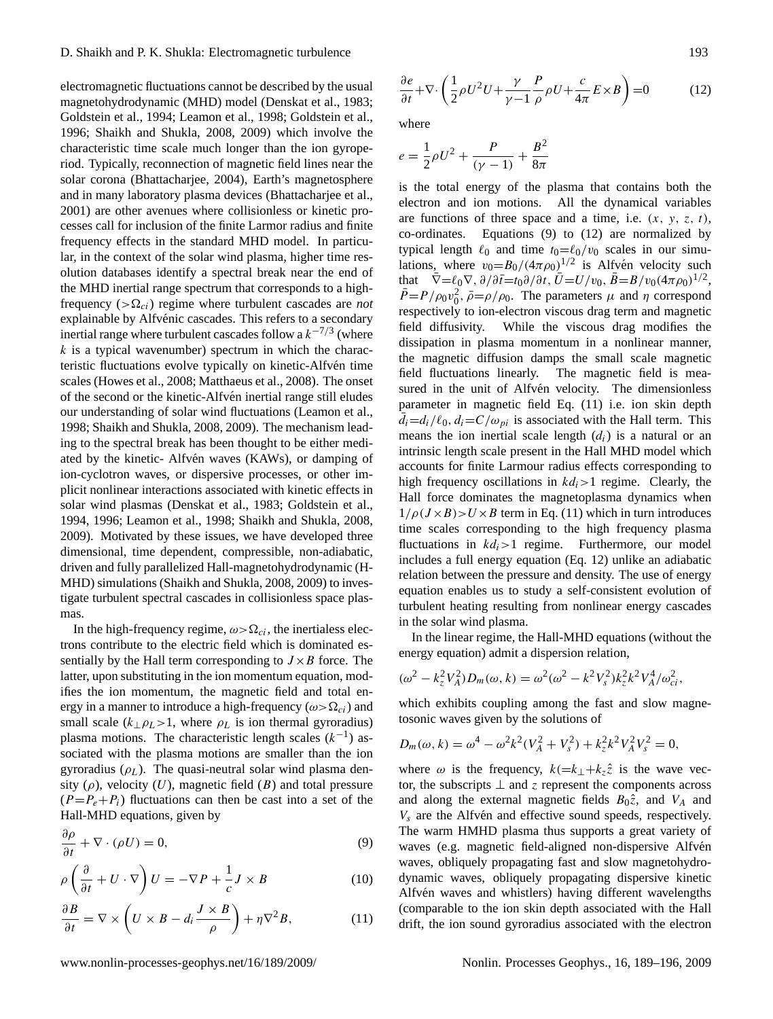electromagnetic fluctuations cannot be described by the usual magnetohydrodynamic (MHD) model [\(Denskat et al.,](#page-6-6) [1983;](#page-6-6) [Goldstein et al.,](#page-6-7) [1994;](#page-6-7) [Leamon et al.,](#page-6-8) [1998;](#page-6-8) [Goldstein et al.,](#page-6-9) [1996;](#page-6-9) [Shaikh and Shukla,](#page-7-7) [2008,](#page-7-7) [2009\)](#page-7-8) which involve the characteristic time scale much longer than the ion gyroperiod. Typically, reconnection of magnetic field lines near the solar corona [\(Bhattacharjee,](#page-6-21) [2004\)](#page-6-21), Earth's magnetosphere and in many laboratory plasma devices [\(Bhattacharjee et al.,](#page-6-22) [2001\)](#page-6-22) are other avenues where collisionless or kinetic processes call for inclusion of the finite Larmor radius and finite frequency effects in the standard MHD model. In particular, in the context of the solar wind plasma, higher time resolution databases identify a spectral break near the end of the MHD inertial range spectrum that corresponds to a highfrequency  $(>\Omega_{ci})$  regime where turbulent cascades are *not* explainable by Alfvénic cascades. This refers to a secondary inertial range where turbulent cascades follow a  $k^{-7/3}$  (where  $k$  is a typical wavenumber) spectrum in which the characteristic fluctuations evolve typically on kinetic-Alfvén time scales [\(Howes et al.,](#page-6-23) [2008;](#page-6-23) [Matthaeus et al.,](#page-6-24) [2008\)](#page-6-24). The onset of the second or the kinetic-Alfven inertial range still eludes our understanding of solar wind fluctuations [\(Leamon et al.,](#page-6-8) [1998;](#page-6-8) [Shaikh and Shukla,](#page-7-7) [2008,](#page-7-7) [2009\)](#page-7-8). The mechanism leading to the spectral break has been thought to be either mediated by the kinetic- Alfvén waves (KAWs), or damping of ion-cyclotron waves, or dispersive processes, or other implicit nonlinear interactions associated with kinetic effects in solar wind plasmas [\(Denskat et al.,](#page-6-6) [1983;](#page-6-6) [Goldstein et al.,](#page-6-7) [1994,](#page-6-7) [1996;](#page-6-9) [Leamon et al.,](#page-6-8) [1998;](#page-6-8) [Shaikh and Shukla,](#page-7-7) [2008,](#page-7-7) [2009\)](#page-7-8). Motivated by these issues, we have developed three dimensional, time dependent, compressible, non-adiabatic, driven and fully parallelized Hall-magnetohydrodynamic (H-MHD) simulations [\(Shaikh and Shukla,](#page-7-7) [2008,](#page-7-7) [2009\)](#page-7-8) to investigate turbulent spectral cascades in collisionless space plasmas.

In the high-frequency regime,  $\omega > \Omega_{ci}$ , the inertialess electrons contribute to the electric field which is dominated essentially by the Hall term corresponding to  $J \times B$  force. The latter, upon substituting in the ion momentum equation, modifies the ion momentum, the magnetic field and total energy in a manner to introduce a high-frequency ( $\omega > \Omega_{ci}$ ) and small scale ( $k_{\perp}$ ρ<sub>L</sub>>1, where  $\rho$ <sub>L</sub> is ion thermal gyroradius) plasma motions. The characteristic length scales  $(k^{-1})$  associated with the plasma motions are smaller than the ion gyroradius  $(\rho_L)$ . The quasi-neutral solar wind plasma density  $(\rho)$ , velocity  $(U)$ , magnetic field  $(B)$  and total pressure  $(P=P_e+P_i)$  fluctuations can then be cast into a set of the Hall-MHD equations, given by

<span id="page-4-0"></span>
$$
\frac{\partial \rho}{\partial t} + \nabla \cdot (\rho U) = 0,\tag{9}
$$

$$
\rho \left( \frac{\partial}{\partial t} + U \cdot \nabla \right) U = -\nabla P + \frac{1}{c} J \times B \tag{10}
$$

<span id="page-4-2"></span>
$$
\frac{\partial B}{\partial t} = \nabla \times \left( U \times B - d_i \frac{J \times B}{\rho} \right) + \eta \nabla^2 B,\tag{11}
$$

<span id="page-4-1"></span>∂e  $\partial t$  $+\nabla \cdot \left(\frac{1}{2}\right)$  $\frac{1}{2}\rho U^2 U + \frac{\gamma}{\gamma - \gamma}$  $\gamma - 1$ P  $\frac{P}{\rho}\rho U+\frac{c}{4\pi}$  $\left(\frac{c}{4\pi}E\times B\right) = 0$  (12)

where

$$
e = \frac{1}{2}\rho U^2 + \frac{P}{(\gamma - 1)} + \frac{B^2}{8\pi}
$$

is the total energy of the plasma that contains both the electron and ion motions. All the dynamical variables are functions of three space and a time, i.e.  $(x, y, z, t)$ , co-ordinates. Equations [\(9\)](#page-4-0) to [\(12\)](#page-4-1) are normalized by typical length  $\ell_0$  and time  $t_0=\ell_0/v_0$  scales in our simulations, where  $v_0 = B_0/(4\pi\rho_0)^{1/2}$  is Alfvén velocity such that  $\bar{\nabla} = \ell_0 \nabla$ ,  $\partial / \partial \bar{t} = t_0 \partial / \partial t$ ,  $\bar{U} = U/v_0$ ,  $\bar{B} = B/v_0 (4\pi \rho_0)^{1/2}$ ,  $\bar{P} = P / \rho_0 v_0^2$ ,  $\bar{\rho} = \rho / \rho_0$ . The parameters  $\mu$  and  $\eta$  correspond respectively to ion-electron viscous drag term and magnetic field diffusivity. While the viscous drag modifies the dissipation in plasma momentum in a nonlinear manner, the magnetic diffusion damps the small scale magnetic field fluctuations linearly. The magnetic field is measured in the unit of Alfvén velocity. The dimensionless parameter in magnetic field Eq. [\(11\)](#page-4-2) i.e. ion skin depth  $\tilde{d}_i = d_i/\ell_0$ ,  $d_i = C/\omega_{pi}$  is associated with the Hall term. This means the ion inertial scale length  $(d<sub>i</sub>)$  is a natural or an intrinsic length scale present in the Hall MHD model which accounts for finite Larmour radius effects corresponding to high frequency oscillations in  $kd_i>1$  regime. Clearly, the Hall force dominates the magnetoplasma dynamics when  $1/\rho(J\times B)$  >  $U\times B$  term in Eq. [\(11\)](#page-4-2) which in turn introduces time scales corresponding to the high frequency plasma fluctuations in  $kd_i>1$  regime. Furthermore, our model includes a full energy equation (Eq. [12\)](#page-4-1) unlike an adiabatic relation between the pressure and density. The use of energy equation enables us to study a self-consistent evolution of turbulent heating resulting from nonlinear energy cascades in the solar wind plasma.

In the linear regime, the Hall-MHD equations (without the energy equation) admit a dispersion relation,

$$
(\omega^2 - k_z^2 V_A^2) D_m(\omega, k) = \omega^2 (\omega^2 - k^2 V_s^2) k_z^2 k^2 V_A^4 / \omega_{ci}^2,
$$

which exhibits coupling among the fast and slow magnetosonic waves given by the solutions of

$$
D_m(\omega, k) = \omega^4 - \omega^2 k^2 (V_A^2 + V_s^2) + k_z^2 k^2 V_A^2 V_s^2 = 0,
$$

where  $\omega$  is the frequency,  $k(=k_{\perp}+k_{z}\hat{z})$  is the wave vector, the subscripts  $\perp$  and z represent the components across and along the external magnetic fields  $B_0\hat{z}$ , and  $V_A$  and  $V_s$  are the Alfvén and effective sound speeds, respectively. The warm HMHD plasma thus supports a great variety of waves (e.g. magnetic field-aligned non-dispersive Alfvén waves, obliquely propagating fast and slow magnetohydrodynamic waves, obliquely propagating dispersive kinetic Alfvén waves and whistlers) having different wavelengths (comparable to the ion skin depth associated with the Hall drift, the ion sound gyroradius associated with the electron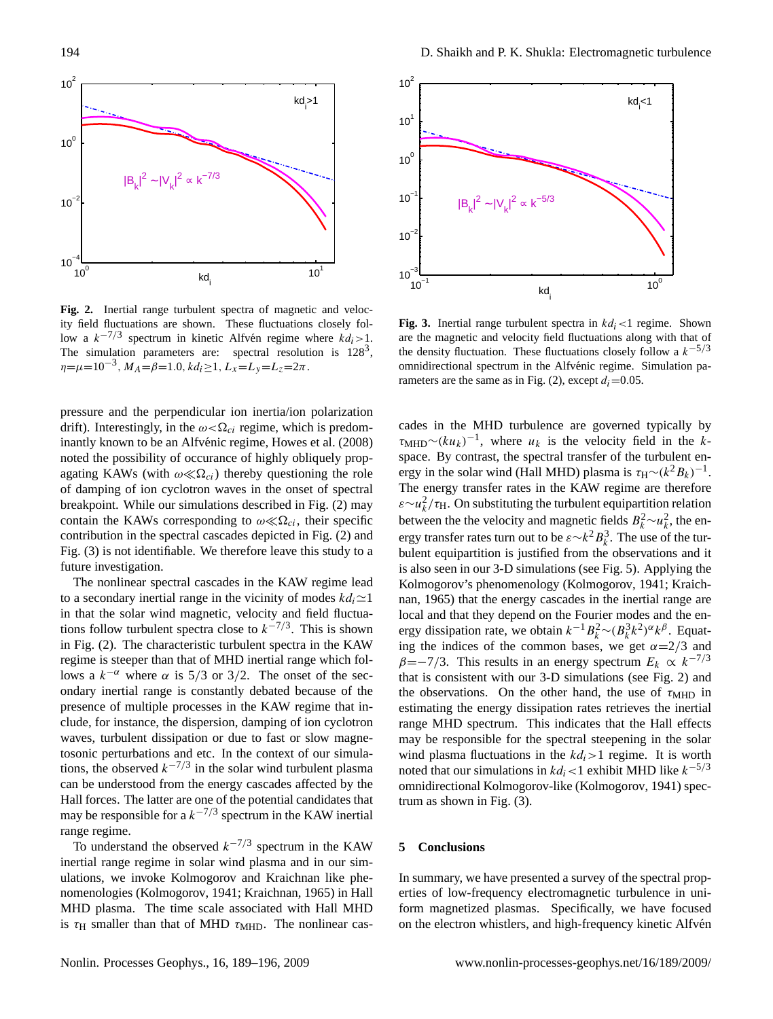

<span id="page-5-0"></span>Fig. 2. Inertial range turbulent spectra of magnetic and velocity field fluctuations are shown. These fluctuations closely follow a  $k^{-7/3}$  spectrum in kinetic Alfvén regime where  $k d_i > 1$ . The simulation parameters are: spectral resolution is  $128^3$ ,  $\eta = \mu = 10^{-3}$ ,  $M_A = \beta = 1.0$ ,  $k d_i \ge 1$ ,  $L_x = L_y = L_z = 2\pi$ .

pressure and the perpendicular ion inertia/ion polarization drift). Interestingly, in the  $\omega < \Omega_{ci}$  regime, which is predom-inantly known to be an Alfvénic regime, [Howes et al.](#page-6-23)  $(2008)$ noted the possibility of occurance of highly obliquely propagating KAWs (with  $\omega \ll \Omega_{ci}$ ) thereby questioning the role of damping of ion cyclotron waves in the onset of spectral breakpoint. While our simulations described in Fig. [\(2\)](#page-5-0) may contain the KAWs corresponding to  $\omega \ll \Omega_{ci}$ , their specific contribution in the spectral cascades depicted in Fig. [\(2\)](#page-5-0) and contribution in the spectral cascades depicted in Fig. (2) and communion in the spectral caseades depicted in Fig.  $(2)$ Fig.  $(3)$  is not identifiable. We therefore leave this study to a future investigation. role of  $\frac{1}{2}$  in the original waves in the oneset of specific original waves in the ones.

The nonlinear spectral cascades in the KAW regime lead and spectral cascades in the KIW regime is to a secondary inertial range in the vicinity of modes  $kd_i \approx 1$ in that the solar wind magnetic, velocity and field fluctuations follow turbulent spectra close to  $k^{-7/3}$ . This is shown in Fig. [\(2\)](#page-5-0). The characteristic turbulent spectra in the KAW regime is steeper than that of MHD inertial range which follows a  $k^{-\alpha}$  where  $\alpha$  is 5/3 or 3/2. The onset of the secondary inertial range is constantly debated because of the presence of multiple processes in the KAW regime that inpresence or mampig processes in the KIW regime that in clude, for instance, the dispersion, damping of ion cyclotron etations, to instance, the dispersion, damping or for eyerotron<br>waves, turbulent dissipation or due to fast or slow magnetosonic perturbations and etc. In the context of our simulations, the observed  $k^{-7/3}$  in the solar wind turbulent plasma can be understood from the energy cascades affected by the  $\frac{1}{2}$  Hall forces. The latter are one of the potential candidates that ran rorees. range regime. may be responsible for a  $k^{-7/3}$  spectrum in the KAW inertial the set, turbulent dissipation or due to fast or slow magneinertial range regime.

To understand the observed  $k^{-7/3}$  spectrum in the KAW inertial range regime in solar wind plasma and in our simnorman range regnine in solar wind plasma and in our simulations, we invoke Kolmogorov and Kraichnan like phenomenologies [\(Kolmogorov,](#page-6-25) [1941;](#page-6-25) [Kraichnan,](#page-6-2) [1965\)](#page-6-2) in Hall MHD plasma. The time scale associated with Hall MHD is  $\tau_H$  smaller than that of MHD  $\tau_{\text{MHD}}$ . The nonlinear casbunderstand the observed  $k^{-1/3}$  spectrum in the KAW



<span id="page-5-1"></span>**Fig. 3.** Inertial range turbulent spectra in  $kd_i < 1$  regime. Shown are the magnetic and velocity field fluctuations along with that of  $\frac{1}{2}$ the density fluctuation. These fluctuations closely follow a  $k^{-5/3}$ omnidirectional spectrum in the Alfvénic regime. Simulation pa-rameters are the same as in Fig. [\(2\)](#page-5-0), except  $d_i = 0.05$ .

ergy in the solar wind (Hall MHD) plasma is  $\tau_H \sim (k^2 B_k)^{-1}$ . The energy transfer rates in the KAW regime are therefore  $\epsilon \sim u_k^2 / \tau_H$ . On substituting the turbulent equipartition relation between the the velocity and magnetic fields  $B_k^2 \sim u_k^2$ , the energy transfer rates turn out to be  $\varepsilon \sim k^2 B_1^3$ . The use of the bulent equipartition is justified from the observations and it is also seen in our 3-D simulations (see Fig. 5). Applying the Kolmogorov's phenomenology [\(Kolmogorov,](#page-6-25) [1941;](#page-6-25) [Kraich](#page-6-2)[nan,](#page-6-2) [1965\)](#page-6-2) that the energy cascades in the inertial range are nan, 1965) that the energy cascades in the inertial range han, the soft the turn of the turn of the turn of the turn of the turn of the turn of the turn of the turn of the turn of the turn of the turn of the turn of the turn of the turn of the turn of the turn of the turn of the frocal and that they depend on the Fourier modes and<br>error discipation rate, we obtain  $k^{-1}R^2 \sim (R^3 k^2)^{\alpha} k^{\beta}$ tigy dissipation rate, we obtain  $\kappa = D_k \circ (D_k \kappa) \kappa$ . ing the indices of the common bases, we get  $\alpha = 2/3$  and  $\beta = -7/3$ . This results in an energy spectrum  $E_k \propto k^{-7/3}$ that is consistent with our 3-D simulations (see Fig. [2\)](#page-5-0) and the observations. On the other hand, the use of  $\tau$ <sub>MHD</sub> in −1B22 ← (B3) and 5 and 5 and 5 and 6 and 6 and 6 and 6 and 6 and 6 and 6 and 6 and 6 and 6 and 6 and 6 and 6 and 6 and 6 and 6 and 6 and 6 and 6 and 6 and 6 and 6 and 6 and 6 and 6 and 6 and 6 and 6 and 6 and 6 and 6 and The common base and β = 200 and β = 2/3 and β = 2/3 and β = 2/3 and β = 2/3 and β = 2/3 and β = 2/3 and β = 2/3. This indicates that the Hall effects range with spectrum. This matedacs and the rain energy wind plasma fluctuations in the  $kd_i > 1$  regime. It is w noted that our simulations in  $kd_i < 1$  exhibit MHD like  $k^{-5/3}$ omnidirectional Kolmogorov-like [\(Kolmogorov,](#page-6-25) [1941\)](#page-6-25) spec-trum as shown in Fig. [\(3\)](#page-5-1).  $\mathcal{L}$  steepening in the solar wind plasma fluctuations fluctuations for  $\mathcal{L}$ ergy transfer rates turn out to be  $\varepsilon \sim k^2 B_k^3$ . The use of the tur- $\log$  dissipation rate, we obtain  $k^{-1}B_k^2 \sim (B_k^3 k^2)^{\alpha} k^{\beta}$ . Equatwind plasma fluctuations in the  $kd_i > 1$  regime. It is worth cades in the MHD turbulence are governed typically by  $\tau_{\text{MHD}} \sim (ku_k)^{-1}$ , where  $u_k$  is the velocity field in the kspace. By contrast, the spectral transfer of the turbulent en-

#### 5 Conclusions  $\mathcal{L}$  contradions

In summary, we have presented a survey of the spectral properties of low-frequency electromagnetic turbulence in uniform magnetized plasmas. Specifically, we have focused on the electron whistlers, and high-frequency kinetic Alfvén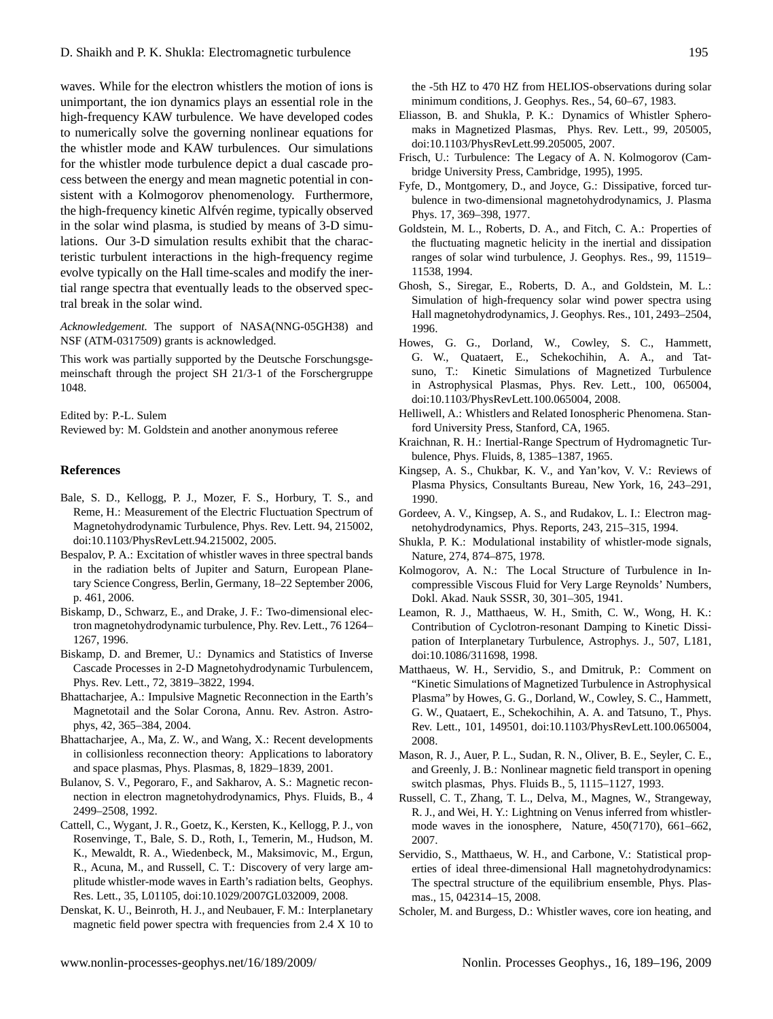waves. While for the electron whistlers the motion of ions is unimportant, the ion dynamics plays an essential role in the high-frequency KAW turbulence. We have developed codes to numerically solve the governing nonlinear equations for the whistler mode and KAW turbulences. Our simulations for the whistler mode turbulence depict a dual cascade process between the energy and mean magnetic potential in consistent with a Kolmogorov phenomenology. Furthermore, the high-frequency kinetic Alfvén regime, typically observed in the solar wind plasma, is studied by means of 3-D simulations. Our 3-D simulation results exhibit that the characteristic turbulent interactions in the high-frequency regime evolve typically on the Hall time-scales and modify the inertial range spectra that eventually leads to the observed spectral break in the solar wind.

*Acknowledgement.* The support of NASA(NNG-05GH38) and NSF (ATM-0317509) grants is acknowledged.

This work was partially supported by the Deutsche Forschungsgemeinschaft through the project SH 21/3-1 of the Forschergruppe 1048.

Edited by: P.-L. Sulem

Reviewed by: M. Goldstein and another anonymous referee

#### **References**

- <span id="page-6-10"></span>Bale, S. D., Kellogg, P. J., Mozer, F. S., Horbury, T. S., and Reme, H.: Measurement of the Electric Fluctuation Spectrum of Magnetohydrodynamic Turbulence, Phys. Rev. Lett. 94, 215002, doi:10.1103/PhysRevLett.94.215002, 2005.
- <span id="page-6-16"></span>Bespalov, P. A.: Excitation of whistler waves in three spectral bands in the radiation belts of Jupiter and Saturn, European Planetary Science Congress, Berlin, Germany, 18–22 September 2006, p. 461, 2006.
- <span id="page-6-1"></span>Biskamp, D., Schwarz, E., and Drake, J. F.: Two-dimensional electron magnetohydrodynamic turbulence, Phy. Rev. Lett., 76 1264– 1267, 1996.
- <span id="page-6-5"></span>Biskamp, D. and Bremer, U.: Dynamics and Statistics of Inverse Cascade Processes in 2-D Magnetohydrodynamic Turbulencem, Phys. Rev. Lett., 72, 3819–3822, 1994.
- <span id="page-6-21"></span>Bhattacharjee, A.: Impulsive Magnetic Reconnection in the Earth's Magnetotail and the Solar Corona, Annu. Rev. Astron. Astrophys, 42, 365–384, 2004.
- <span id="page-6-22"></span>Bhattacharjee, A., Ma, Z. W., and Wang, X.: Recent developments in collisionless reconnection theory: Applications to laboratory and space plasmas, Phys. Plasmas, 8, 1829–1839, 2001.
- <span id="page-6-18"></span>Bulanov, S. V., Pegoraro, F., and Sakharov, A. S.: Magnetic reconnection in electron magnetohydrodynamics, Phys. Fluids, B., 4 2499–2508, 1992.
- <span id="page-6-13"></span>Cattell, C., Wygant, J. R., Goetz, K., Kersten, K., Kellogg, P. J., von Rosenvinge, T., Bale, S. D., Roth, I., Temerin, M., Hudson, M. K., Mewaldt, R. A., Wiedenbeck, M., Maksimovic, M., Ergun, R., Acuna, M., and Russell, C. T.: Discovery of very large amplitude whistler-mode waves in Earth's radiation belts, Geophys. Res. Lett., 35, L01105, doi:10.1029/2007GL032009, 2008.
- <span id="page-6-6"></span>Denskat, K. U., Beinroth, H. J., and Neubauer, F. M.: Interplanetary magnetic field power spectra with frequencies from 2.4 X 10 to

the -5th HZ to 470 HZ from HELIOS-observations during solar minimum conditions, J. Geophys. Res., 54, 60–67, 1983.

- <span id="page-6-19"></span>Eliasson, B. and Shukla, P. K.: Dynamics of Whistler Spheromaks in Magnetized Plasmas, Phys. Rev. Lett., 99, 205005, doi:10.1103/PhysRevLett.99.205005, 2007.
- <span id="page-6-3"></span>Frisch, U.: Turbulence: The Legacy of A. N. Kolmogorov (Cambridge University Press, Cambridge, 1995), 1995.
- <span id="page-6-4"></span>Fyfe, D., Montgomery, D., and Joyce, G.: Dissipative, forced turbulence in two-dimensional magnetohydrodynamics, J. Plasma Phys. 17, 369–398, 1977.
- <span id="page-6-7"></span>Goldstein, M. L., Roberts, D. A., and Fitch, C. A.: Properties of the fluctuating magnetic helicity in the inertial and dissipation ranges of solar wind turbulence, J. Geophys. Res., 99, 11519– 11538, 1994.
- <span id="page-6-9"></span>Ghosh, S., Siregar, E., Roberts, D. A., and Goldstein, M. L.: Simulation of high-frequency solar wind power spectra using Hall magnetohydrodynamics, J. Geophys. Res., 101, 2493–2504, 1996.
- <span id="page-6-23"></span>Howes, G. G., Dorland, W., Cowley, S. C., Hammett, G. W., Quataert, E., Schekochihin, A. A., and Tatsuno, T.: Kinetic Simulations of Magnetized Turbulence in Astrophysical Plasmas, Phys. Rev. Lett., 100, 065004, doi:10.1103/PhysRevLett.100.065004, 2008.
- <span id="page-6-12"></span>Helliwell, A.: Whistlers and Related Ionospheric Phenomena. Stanford University Press, Stanford, CA, 1965.
- <span id="page-6-2"></span>Kraichnan, R. H.: Inertial-Range Spectrum of Hydromagnetic Turbulence, Phys. Fluids, 8, 1385–1387, 1965.
- <span id="page-6-0"></span>Kingsep, A. S., Chukbar, K. V., and Yan'kov, V. V.: Reviews of Plasma Physics, Consultants Bureau, New York, 16, 243–291, 1990.
- Gordeev, A. V., Kingsep, A. S., and Rudakov, L. I.: Electron magnetohydrodynamics, Phys. Reports, 243, 215–315, 1994.
- <span id="page-6-20"></span>Shukla, P. K.: Modulational instability of whistler-mode signals, Nature, 274, 874–875, 1978.
- <span id="page-6-25"></span>Kolmogorov, A. N.: The Local Structure of Turbulence in Incompressible Viscous Fluid for Very Large Reynolds' Numbers, Dokl. Akad. Nauk SSSR, 30, 301–305, 1941.
- <span id="page-6-8"></span>Leamon, R. J., Matthaeus, W. H., Smith, C. W., Wong, H. K.: Contribution of Cyclotron-resonant Damping to Kinetic Dissipation of Interplanetary Turbulence, Astrophys. J., 507, L181, doi:10.1086/311698, 1998.
- <span id="page-6-24"></span>Matthaeus, W. H., Servidio, S., and Dmitruk, P.: Comment on "Kinetic Simulations of Magnetized Turbulence in Astrophysical Plasma" by Howes, G. G., Dorland, W., Cowley, S. C., Hammett, G. W., Quataert, E., Schekochihin, A. A. and Tatsuno, T., Phys. Rev. Lett., 101, 149501, doi:10.1103/PhysRevLett.100.065004, 2008.
- <span id="page-6-17"></span>Mason, R. J., Auer, P. L., Sudan, R. N., Oliver, B. E., Seyler, C. E., and Greenly, J. B.: Nonlinear magnetic field transport in opening switch plasmas, Phys. Fluids B., 5, 1115–1127, 1993.
- <span id="page-6-14"></span>Russell, C. T., Zhang, T. L., Delva, M., Magnes, W., Strangeway, R. J., and Wei, H. Y.: Lightning on Venus inferred from whistlermode waves in the ionosphere, Nature, 450(7170), 661–662, 2007.
- <span id="page-6-11"></span>Servidio, S., Matthaeus, W. H., and Carbone, V.: Statistical properties of ideal three-dimensional Hall magnetohydrodynamics: The spectral structure of the equilibrium ensemble, Phys. Plasmas., 15, 042314–15, 2008.
- <span id="page-6-15"></span>Scholer, M. and Burgess, D.: Whistler waves, core ion heating, and